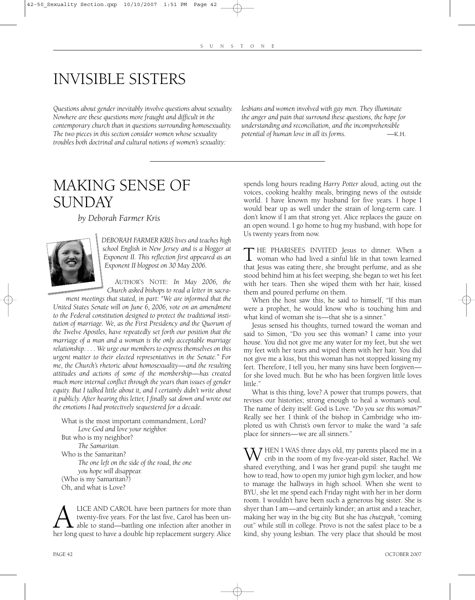# INVISIBLE SISTERS

*Questions about gender inevitably involve questions about sexuality. Nowhere are these questions more fraught and difficult in the contemporary church than in questions surrounding homosexuality. The two pieces in this section consider women whose sexuality troubles both doctrinal and cultural notions of women's sexuality:*

*lesbians and women involved with gay men. They illuminate the anger and pain that surround these questions, the hope for understanding and reconciliation, and the incomprehensible potential of human love in all its forms.* —K.H.

## MAKING SENSE OF SUNDAY

*by Deborah Farmer Kris*



*DEBORAH FARMER KRIS lives and teaches high school English in New Jersey and is a blogger at Exponent II. This reflection first appeared as an Exponent II blogpost on 30 May 2006.*

AUTHOR'S NOTE: *In May 2006, the Church asked bishops to read a letter in sacra-*

*ment meetings that stated, in part: "We are informed that the United States Senate will on June 6, 2006, vote on an amendment to the Federal constitution designed to protect the traditional institution of marriage. We, as the First Presidency and the Quorum of the Twelve Apostles, have repeatedly set forth our position that the marriage of a man and a woman is the only acceptable marriage relationship. . . . We urge our members to express themselves on this urgent matter to their elected representatives in the Senate." For me, the Church's rhetoric about homosexuality—and the resulting attitudes and actions of some of the membership—has created much more internal conflict through the years than issues of gender equity. But I talked little about it, and I certainly didn't write about it publicly. After hearing this letter, I finally sat down and wrote out the emotions I had protectively sequestered for a decade.* 

What is the most important commandment, Lord? *Love God and love your neighbor.* But who is my neighbor? *The Samaritan.* Who is the Samaritan? *The one left on the side of the road, the one you hope will disappear.* (Who is my Samaritan?) Oh, and what is Love?

ALICE AND CAROL have been partners for more than<br>twenty-five years. For the last five, Carol has been un-<br>her long quest to have a double hip replacement surgery. Alice twenty-five years. For the last five, Carol has been unable to stand—battling one infection after another in spends long hours reading *Harry Potter* aloud, acting out the voices, cooking healthy meals, bringing news of the outside world. I have known my husband for five years. I hope I would bear up as well under the strain of long-term care. I don't know if I am that strong yet. Alice replaces the gauze on an open wound. I go home to hug my husband, with hope for Us twenty years from now.

T HE PHARISEES INVITED Jesus to dinner. When a woman who had lived a sinful life in that town learned that Jesus was eating there, she brought perfume, and as she stood behind him at his feet weeping, she began to wet his feet with her tears. Then she wiped them with her hair, kissed them and poured perfume on them.

When the host saw this, he said to himself, "If this man were a prophet, he would know who is touching him and what kind of woman she is—that she is a sinner."

Jesus sensed his thoughts, turned toward the woman and said to Simon, "Do you see this woman? I came into your house. You did not give me any water for my feet, but she wet my feet with her tears and wiped them with her hair. You did not give me a kiss, but this woman has not stopped kissing my feet. Therefore, I tell you, her many sins have been forgiven for she loved much. But he who has been forgiven little loves little."

What is this thing, love? A power that trumps powers, that revises our histories; strong enough to heal a woman's soul. The name of deity itself: God is Love. *"Do you see this woman?"* Really see her. I think of the bishop in Cambridge who implored us with Christ's own fervor to make the ward "a safe place for sinners—we are all sinners."

WHEN I WAS three days old, my parents placed me in a<br>crib in the room of my five-year-old sister, Rachel. We shared everything, and I was her grand pupil: she taught me how to read, how to open my junior high gym locker, and how to manage the hallways in high school. When she went to BYU, she let me spend each Friday night with her in her dorm room. I wouldn't have been such a generous big sister. She is shyer than I am—and certainly kinder; an artist and a teacher, making her way in the big city. But she has *chutzpah*, "coming out" while still in college. Provo is not the safest place to be a kind, shy young lesbian. The very place that should be most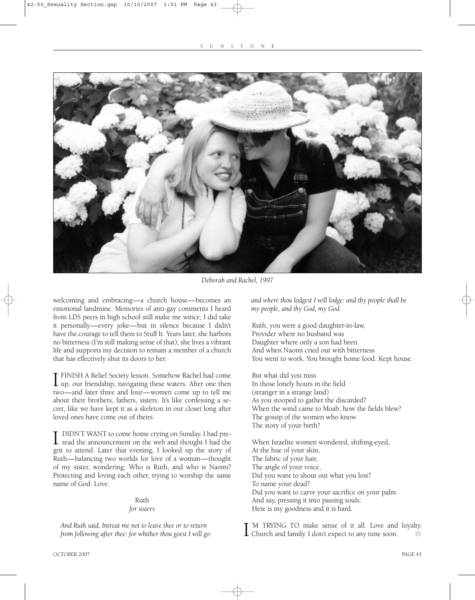

*Deborah and Rachel, 1997*

welcoming and embracing—a church house—becomes an emotional landmine. Memories of anti-gay comments I heard from LDS peers in high school still make me wince; I did take it personally—every joke—but in silence because I didn't have the courage to tell them to Stuff It. Years later, she harbors no bitterness (I'm still making sense of that); she lives a vibrant life and supports my decision to remain a member of a church that has effectively shut its doors to her.

I FINISH A Relief Society lesson. Somehow Rachel had come<br>up, our friendship, navigating these waters. After one then FINISH A Relief Society lesson. Somehow Rachel had come two—and later three and four—women come up to tell me about their brothers, fathers, sisters. It's like confessing a secret, like we have kept it as a skeleton in our closet long after loved ones have come out of theirs.

I DIDN'T WANT to come home crying on Sunday. I had pre-<br>read the announcement on the web and thought I had the grit to attend. Later that evening, I looked up the story of Ruth—balancing two worlds for love of a woman—thought of my sister, wondering: Who is Ruth, and who is Naomi? Protecting and loving each other, trying to worship the same name of God: Love.

### Ruth

#### *for sisters*

*And Ruth said, Intreat me not to leave thee or to return from following after thee: for whither thou goest I will go:*  *and where thou lodgest I will lodge: and thy people shall be my people, and thy God, my God.*

Ruth, you were a good daughter-in-law, Provider where no husband was Daughter where only a son had been. And when Naomi cried out with bitterness You went to work. You brought home food. Kept house.

But what did you miss In those lonely hours in the field (stranger in a strange land) As you stooped to gather the discarded? When the wind came to Moab, how the fields blew? The gossip of the women who know The story of your birth?

When Israelite women wondered, shifting-eyed, At the hue of your skin, The fabric of your hair, The angle of your voice, Did you want to shout out what you lost? To name your dead? Did you want to carve your sacrifice on your palm And say, pressing it into passing souls: Here is my goodness and it is hard.

I Church and family. I don't expect to any time soon. 'M TRYING TO make sense of it all. Love and loyalty.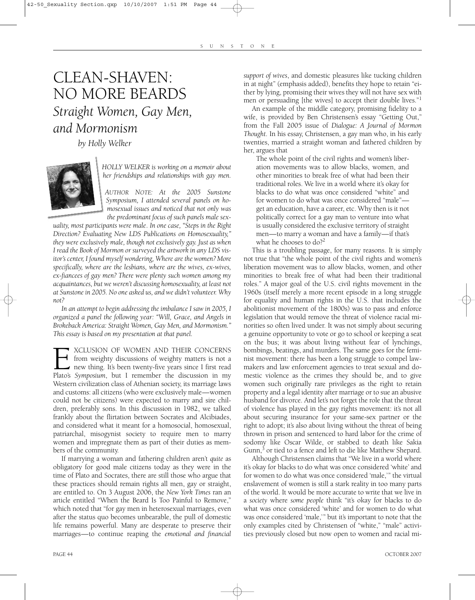### CLEAN-SHAVEN: NO MORE BEARDS *Straight Women, Gay Men, and Mormonism*

*by Holly Welker*



*HOLLY WELKER is working on a memoir about her friendships and relationships with gay men.* 

*AUTHOR NOTE: At the 2005 Sunstone Symposium, I attended several panels on homosexual issues and noticed that not only was the predominant focus of such panels male sex-*

*uality, most participants were male. In one case, "Steps in the Right Direction? Evaluating New LDS Publications on Homosexuality," they were exclusively male, though not exclusively gay. Just as when I read the Book of Mormon or surveyed the artwork in any LDS visitor's center, I found myself wondering, Where are the women? More specifically, where are the lesbians, where are the wives, ex-wives, ex-fiancees of gay men? There were plenty such women among my acquaintances, but we weren't discussing homosexuality, at least not at Sunstone in 2005. No one asked us, and we didn't volunteer. Why not?*

*In an attempt to begin addressing the imbalance I saw in 2005, I organized a panel the following year: "Will, Grace, and Angels in Brokeback America: Straight Women, Gay Men, and Mormonism." This essay is based on my presentation at that panel.*

**EXELUSION OF WOMEN AND THEIR CONCERNS** from weighty discussions of weighty matters is not a new thing. It's been twenty-five years since I first read Plato's *Symposium*, but I remember the discussion in my from weighty discussions of weighty matters is not a new thing. It's been twenty-five years since I first read Western civilization class of Athenian society, its marriage laws and customs: all citizens (who were exclusively male—women could not be citizens) were expected to marry and sire children, preferably sons. In this discussion in 1982, we talked frankly about the flirtation between Socrates and Alcibiades, and considered what it meant for a homosocial, homosexual, patriarchal, misogynist society to require men to marry women and impregnate them as part of their duties as members of the community.

If marrying a woman and fathering children aren't *quite* as obligatory for good male citizens today as they were in the time of Plato and Socrates, there are still those who argue that these practices should remain rights all men, gay or straight, are entitled to. On 3 August 2006, the *New York Times* ran an article entitled "When the Beard Is Too Painful to Remove," which noted that "for gay men in heterosexual marriages, even after the status quo becomes unbearable, the pull of domestic life remains powerful. Many are desperate to preserve their marriages—to continue reaping the *emotional and financial*

*support of wives*, and domestic pleasures like tucking children in at night" (emphasis added), benefits they hope to retain "either by lying, promising their wives they will not have sex with men or persuading [the wives] to accept their double lives."

An example of the middle category, promising fidelity to a wife, is provided by Ben Christensen's essay "Getting Out," from the Fall 2005 issue of *Dialogue: A Journal of Mormon Thought*. In his essay, Christensen, a gay man who, in his early twenties, married a straight woman and fathered children by her, argues that

The whole point of the civil rights and women's liberation movements was to allow blacks, women, and other minorities to break free of what had been their traditional roles. We live in a world where it's okay for blacks to do what was once considered "white" and for women to do what was once considered "male" get an education, have a career, etc. Why then is it not politically correct for a gay man to venture into what is usually considered the exclusive territory of straight men—to marry a woman and have a family—if that's what he chooses to  $d\rho$ ?

This is a troubling passage, for many reasons. It is simply not true that "the whole point of the civil rights and women's liberation movement was to allow blacks, women, and other minorities to break free of what had been their traditional roles." A major goal of the U.S. civil rights movement in the 1960s (itself merely a more recent episode in a long struggle for equality and human rights in the U.S. that includes the abolitionist movement of the 1800s) was to pass and enforce legislation that would remove the threat of violence racial minorities so often lived under. It was not simply about securing a genuine opportunity to vote or go to school or keeping a seat on the bus; it was about living without fear of lynchings, bombings, beatings, and murders. The same goes for the feminist movement: there has been a long struggle to compel lawmakers and law enforcement agencies to treat sexual and domestic violence as the crimes they should be, and to give women such originally rare privileges as the right to retain property and a legal identity after marriage or to sue an abusive husband for divorce. And let's not forget the role that the threat of violence has played in the gay rights movement: it's not all about securing insurance for your same-sex partner or the right to adopt; it's also about living without the threat of being thrown in prison and sentenced to hard labor for the crime of sodomy like Oscar Wilde, or stabbed to death like Sakia Gunn,<sup>3</sup> or tied to a fence and left to die like Matthew Shepard.

Although Christensen claims that "We live in a world where it's okay for blacks to do what was once considered 'white' and for women to do what was once considered 'male,'" the virtual enslavement of women is still a stark reality in too many parts of the world. It would be more accurate to write that we live in a *society* where *some people* think "it's okay for blacks to do what was once considered 'white' and for women to do what was once considered 'male,'" but it's important to note that the only examples cited by Christensen of "white," "male" activities previously closed but now open to women and racial mi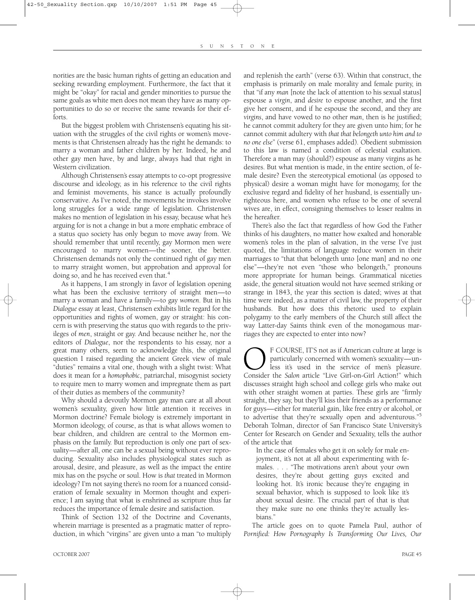norities are the basic human rights of getting an education and seeking rewarding employment. Furthermore, the fact that it might be "okay" for racial and gender minorities to pursue the same goals as white men does not mean they have as many opportunities to do so or receive the same rewards for their efforts.

But the biggest problem with Christensen's equating his situation with the struggles of the civil rights or women's movements is that Christensen already has the right he demands: to marry a woman and father children by her. Indeed, he and other gay men have, by and large, always had that right in Western civilization.

Although Christensen's essay attempts to co-opt progressive discourse and ideology, as in his reference to the civil rights and feminist movements, his stance is actually profoundly conservative. As I've noted, the movements he invokes involve long struggles for a wide range of legislation. Christensen makes no mention of legislation in his essay, because what he's arguing for is not a change in but a more emphatic embrace of a status quo society has only begun to move away from. We should remember that until recently, gay Mormon men were encouraged to marry women—the sooner, the better. Christensen demands not only the continued right of gay men to marry straight women, but approbation and approval for doing so, and he has received even that.<sup>4</sup>

As it happens, I am strongly in favor of legislation opening what has been the exclusive territory of straight men—to marry a woman and have a family—to gay *women*. But in his *Dialogue* essay at least, Christensen exhibits little regard for the opportunities and rights of women, gay or straight: his concern is with preserving the status quo with regards to the privileges of *men*, straight or gay. And because neither he, nor the editors of *Dialogue*, nor the respondents to his essay, nor a great many others, seem to acknowledge this, the original question I raised regarding the ancient Greek view of male "duties" remains a vital one, though with a slight twist: What does it mean for a *homophobic*, patriarchal, misogynist society to require men to marry women and impregnate them as part of their duties as members of the community?

Why should a devoutly Mormon gay man care at all about women's sexuality, given how little attention it receives in Mormon doctrine? Female biology is extremely important in Mormon ideology, of course, as that is what allows women to bear children, and children are central to the Mormon emphasis on the family. But reproduction is only one part of sexuality—after all, one can be a sexual being without ever reproducing. Sexuality also includes physiological states such as arousal, desire, and pleasure, as well as the impact the entire mix has on the psyche or soul. How is *that* treated in Mormon ideology? I'm not saying there's no room for a nuanced consideration of female sexuality in Mormon thought and experience; I am saying that what is enshrined as scripture thus far reduces the importance of female desire and satisfaction.

Think of Section 132 of the Doctrine and Covenants, wherein marriage is presented as a pragmatic matter of reproduction, in which "virgins" are given unto a man "to multiply

and replenish the earth" (verse 63). Within that construct, the emphasis is primarily on male morality and female purity, in that "if any *man* [note the lack of attention to his sexual status] espouse a *virgin*, and *desire* to espouse another, and the first give her consent, and if he espouse the second, and they are *virgins*, and have vowed to no other *man*, then is he justified; he cannot commit adultery for they are given unto him; for he cannot commit adultery with *that that belongeth unto him and to no one else*" (verse 61, emphases added). Obedient submission to this law is named a condition of celestial exaltation. Therefore a man may (should?) espouse as many virgins as he desires. But what mention is made, in the entire section, of female desire? Even the stereotypical emotional (as opposed to physical) desire a woman might have for monogamy, for the exclusive regard and fidelity of her husband, is essentially unrighteous here, and women who refuse to be one of several wives are, in effect, consigning themselves to lesser realms in the hereafter.

There's also the fact that regardless of how God the Father thinks of his daughters, no matter how exalted and honorable women's roles in the plan of salvation, in the verse I've just quoted, the limitations of language reduce women in their marriages to "that that belongeth unto [one man] and no one else"—they're not even "those who belongeth," pronouns more appropriate for human beings. Grammatical niceties aside, the general situation would not have seemed striking or strange in 1843, the year this section is dated; wives at that time were indeed, as a matter of civil law, the property of their husbands. But how does this rhetoric used to explain polygamy to the early members of the Church still affect the way Latter-day Saints think even of the monogamous marriages they are expected to enter into now?

**COURSE, IT'S not as if American culture at large is** particularly concerned with women's sexuality—un-<br>less it's used in the service of men's pleasure.<br>Consider the *Salon* article "Live Girl-on-Girl Action!" which particularly concerned with women's sexuality—unless it's used in the service of men's pleasure. Consider the *Salon* article "Live Girl-on-Girl Action!" which discusses straight high school and college girls who make out with other straight women at parties. These girls are "firmly straight, they say, but they'll kiss their friends as a performance for guys—either for material gain, like free entry or alcohol, or to advertise that they're sexually open and adventurous."5 Deborah Tolman, director of San Francisco State University's Center for Research on Gender and Sexuality, tells the author of the article that

In the case of females who get it on solely for male enjoyment, it's not at all about experimenting with females. . . . "The motivations aren't about your own desires, they're about getting guys excited and looking hot. It's ironic because they're engaging in sexual behavior, which is supposed to look like it's about sexual desire. The crucial part of that is that they make sure no one thinks they're actually lesbians."

The article goes on to quote Pamela Paul, author of *Pornified: How Pornography Is Transforming Our Lives, Our*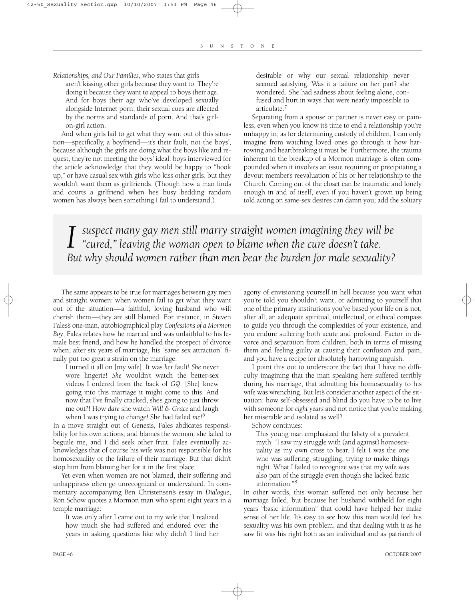#### *Relationships, and Our Families*, who states that girls

aren't kissing other girls because they want to. They're doing it because they want to appeal to boys their age. And for boys their age who've developed sexually alongside Internet porn, their sexual cues are affected by the norms and standards of porn. And that's girlon-girl action.

And when girls fail to get what they want out of this situation—specifically, a boyfriend—it's their fault, not the boys', because although the girls are doing what the boys like and request, they're not meeting the boys' ideal: boys interviewed for the article acknowledge that they would be happy to "hook up," or have casual sex with girls who kiss other girls, but they wouldn't want them as girlfriends. (Though how a man finds and courts a girlfriend when he's busy bedding random women has always been something I fail to understand.)

desirable or why our sexual relationship never seemed satisfying. Was it a failure on her part? she wondered. She had sadness about feeling alone, confused and hurt in ways that were nearly impossible to articulate.7

Separating from a spouse or partner is never easy or painless, even when you know it's time to end a relationship you're unhappy in; as for determining custody of children, I can only imagine from watching loved ones go through it how harrowing and heartbreaking it must be. Furthermore, the trauma inherent in the breakup of a Mormon marriage is often compounded when it involves an issue requiring or precipitating a devout member's reevaluation of his or her relationship to the Church. Coming out of the closet can be traumatic and lonely enough in and of itself, even if you haven't grown up being told acting on same-sex desires can damn you; add the solitary

*I* suspect many gay men still marry straight women imagining they will be "cured," leaving the woman open to blame when the cure doesn't take. *"cured," leaving the woman open to blame when the cure doesn't take. But why should women rather than men bear the burden for male sexuality?*

The same appears to be true for marriages between gay men and straight women: when women fail to get what they want out of the situation—a faithful, loving husband who will cherish them—they are still blamed. For instance, in Steven Fales's one-man, autobiographical play *Confessions of a Mormon Boy*, Fales relates how he married and was unfaithful to his female best friend, and how he handled the prospect of divorce when, after six years of marriage, his "same sex attraction" finally put too great a strain on the marriage:

I turned it all on [my wife]. It was *her* fault! *She* never wore lingerie! *She* wouldn't watch the better-sex videos I ordered from the back of *GQ*. [She] knew going into this marriage it might come to this. And now that I've finally cracked, she's going to just throw me out?! How *dare* she watch *Will & Grace* and laugh when I was trying to change! She had failed *me*! 6

In a move straight out of Genesis, Fales abdicates responsibility for his own actions, and blames the woman: she failed to beguile me, and I did seek other fruit. Fales eventually acknowledges that of course his wife was not responsible for his homosexuality or the failure of their marriage. But that didn't stop him from blaming her for it in the first place.

Yet even when women are not blamed, their suffering and unhappiness often go unrecognized or undervalued. In commentary accompanying Ben Christensen's essay in *Dialogue*, Ron Schow quotes a Mormon man who spent eight years in a temple marriage:

It was only after I came out to my wife that I realized how much she had suffered and endured over the years in asking questions like why didn't I find her agony of envisioning yourself in hell because you want what you're told you shouldn't want, or admitting to yourself that one of the primary institutions you've based your life on is not, after all, an adequate spiritual, intellectual, or ethical compass to guide you through the complexities of your existence, and you endure suffering both acute and profound. Factor in divorce and separation from children, both in terms of missing them and feeling guilty at causing their confusion and pain, and you have a recipe for absolutely harrowing anguish.

I point this out to underscore the fact that I have no difficulty imagining that the man speaking here suffered terribly during his marriage, that admitting his homosexuality to his wife was wrenching. But let's consider another aspect of the situation: how self-obsessed and blind do you have to be to live with someone for *eight years* and not notice that you're making her miserable and isolated as well?

Schow continues:

This young man emphasized the falsity of a prevalent myth: "I saw my struggle with (and against) homosexuality as my own cross to bear. I felt I was the one who was suffering, struggling, trying to make things right. What I failed to recognize was that my wife was also part of the struggle even though she lacked basic information."8

In other words, this woman suffered not only because her marriage failed, but because her husband withheld for eight years "basic information" that could have helped her make sense of her life. It's easy to see how this man would feel his sexuality was his own problem, and that dealing with it as he saw fit was his right both as an individual and as patriarch of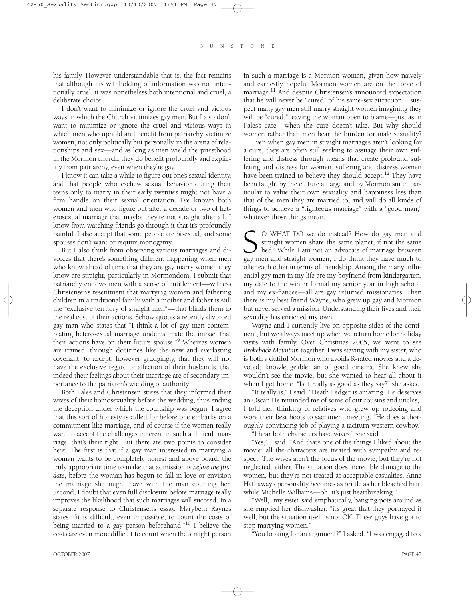his family. However understandable that is, the fact remains that although his withholding of information was not intentionally cruel, it was nonetheless both intentional and cruel, a deliberate choice.

I don't want to minimize or ignore the cruel and vicious ways in which the Church victimizes gay men. But I also don't want to minimize or ignore the cruel and vicious ways in which men who uphold and benefit from patriarchy victimize women, not only politically but personally, in the arena of relationships and sex—and as long as men wield the priesthood in the Mormon church, they do benefit profoundly and explicitly from patriarchy, even when they're gay.

I know it can take a while to figure out one's sexual identity, and that people who eschew sexual behavior during their teens only to marry in their early twenties might not have a firm handle on their sexual orientation. I've known both women and men who figure out after a decade or two of heterosexual marriage that maybe they're not straight after all. I know from watching friends go through it that it's profoundly painful. I also accept that some people are bisexual, and some spouses don't want or require monogamy.

But I also think from observing various marriages and divorces that there's something different happening when men who know ahead of time that they are gay marry women they know are straight, particularly in Mormondom. I submit that patriarchy endows men with a sense of entitlement—witness Christensen's resentment that marrying women and fathering children in a traditional family with a mother and father is still the "exclusive territory of straight men"—that blinds them to the real cost of their actions. Schow quotes a recently divorced gay man who states that "I think a lot of gay men contemplating heterosexual marriage underestimate the impact that their actions have on their future spouse."<sup>9</sup> Whereas women are trained, through doctrines like the new and everlasting covenant, to accept, however grudgingly, that they will not have the exclusive regard or affection of their husbands, that indeed their feelings about their marriage are of secondary importance to the patriarch's wielding of authority.

Both Fales and Christensen stress that they informed their wives of their homosexuality before the wedding, thus ending the deception under which the courtship was begun. I agree that this sort of honesty is called for before one embarks on a commitment like marriage, and of course if the women really want to accept the challenges inherent in such a difficult marriage, that's their right. But there are two points to consider here. The first is that if a gay man interested in marrying a woman wants to be completely honest and above board, the truly appropriate time to make that admission is *before the first date*, before the woman has begun to fall in love or envision the marriage she might have with the man courting her. Second, I doubt that even full disclosure before marriage really improves the likelihood that such marriages will succeed. In a separate response to Christensen's essay, Marybeth Raynes states, "it is difficult, even impossible, to count the costs of being married to a gay person beforehand."10 I believe the costs are even more difficult to count when the straight person

in such a marriage is a Mormon woman, given how naively and earnestly hopeful Mormon women are on the topic of marriage.<sup>11</sup> And despite Christensen's announced expectation that he will never be "cured" of his same-sex attraction, I suspect many gay men still marry straight women imagining they will be "cured," leaving the woman open to blame—just as in Fales's case—when the cure doesn't take. But why should women rather than men bear the burden for male sexuality?

Even when gay men in straight marriages aren't looking for a cure, they are often still seeking to assuage their own suffering and distress through means that create profound suffering and distress for women, suffering and distress women have been trained to believe they should accept.<sup>12</sup> They have been taught by the culture at large and by Mormonism in particular to value their own sexuality and happiness less than that of the men they are married to, and will do all kinds of things to achieve a "righteous marriage" with a "good man," whatever those things mean.

S O WHAT DO we do instead? How do gay men and straight women share the same planet, if not the same bed? While I am not an advocate of marriage between gay men and straight women, I do think they have much to straight women share the same planet, if not the same bed? While I am not an advocate of marriage between gay men and straight women, I do think they have much to offer each other in terms of friendship. Among the many influential gay men in my life are my boyfriend from kindergarten, my date to the winter formal my senior year in high school, and my ex-fiancee—all are gay returned missionaries. Then there is my best friend Wayne, who grew up gay and Mormon but never served a mission. Understanding their lives and their sexuality has enriched my own.

Wayne and I currently live on opposite sides of the continent, but we always meet up when we return home for holiday visits with family. Over Christmas 2005, we went to see *Brokeback Mountain* together. I was staying with my sister, who is both a dutiful Mormon who avoids R-rated movies and a devoted, knowledgeable fan of good cinema. She knew she wouldn't see the movie, but she wanted to hear all about it when I got home. "Is it really as good as they say?" she asked.

"It really is," I said. "Heath Ledger is amazing. He deserves an Oscar. He reminded me of some of our cousins and uncles," I told her, thinking of relatives who grew up rodeoing and wore their best boots to sacrament meeting. "He does a thoroughly convincing job of playing a taciturn western cowboy."

"I hear both characters have wives," she said.

"Yes," I said. "And that's one of the things I liked about the movie: all the characters are treated with sympathy and respect. The wives aren't the focus of the movie, but they're not neglected, either. The situation does incredible damage to the women, but they're not treated as acceptable casualties. Anne Hathaway's personality becomes as brittle as her bleached hair, while Michelle Williams—oh, it's just heartbreaking."

"Well," my sister said emphatically, banging pots around as she emptied her dishwasher, "it's great that they portrayed it well, but the situation itself is not OK. These guys have got to stop marrying women."

"You looking for an argument?" I asked. "I was engaged to a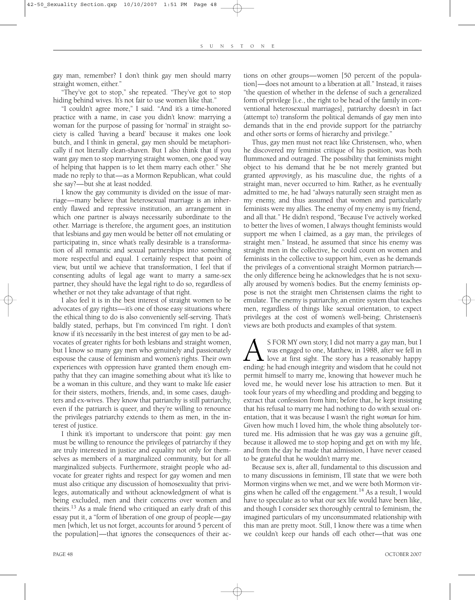gay man, remember? I don't think gay men should marry straight women, either."

"They've got to stop," she repeated. "They've got to stop hiding behind wives. It's not fair to use women like that."

"I couldn't agree more," I said. "And it's a time-honored practice with a name, in case you didn't know: marrying a woman for the purpose of passing for 'normal' in straight society is called 'having a beard' because it makes one look butch, and I think in general, gay men should be metaphorically if not literally clean-shaven. But I also think that if you want gay men to stop marrying straight women, one good way of helping that happen is to let them marry each other." She made no reply to that—as a Mormon Republican, what could she say?—but she at least nodded.

I know the gay community is divided on the issue of marriage—many believe that heterosexual marriage is an inherently flawed and repressive institution, an arrangement in which one partner is always necessarily subordinate to the other. Marriage is therefore, the argument goes, an institution that lesbians and gay men would be better off not emulating or participating in, since what's really desirable is a transformation of all romantic and sexual partnerships into something more respectful and equal. I certainly respect that point of view, but until we achieve that transformation, I feel that if consenting adults of legal age want to marry a same-sex partner, they should have the legal right to do so, regardless of whether or not they take advantage of that right.

I also feel it is in the best interest of straight women to be advocates of gay rights—it's one of those easy situations where the ethical thing to do is also conveniently self-serving. That's baldly stated, perhaps, but I'm convinced I'm right. I don't know if it's necessarily in the best interest of gay men to be advocates of greater rights for both lesbians and straight women, but I know so many gay men who genuinely and passionately espouse the cause of feminism and women's rights. Their own experiences with oppression have granted them enough empathy that they can imagine something about what it's like to be a woman in this culture, and they want to make life easier for their sisters, mothers, friends, and, in some cases, daughters and ex-wives. They know that patriarchy is still patriarchy, even if the patriarch is queer, and they're willing to renounce the privileges patriarchy extends to them as men, in the interest of justice.

I think it's important to underscore that point: gay men must be willing to renounce the privileges of patriarchy if they are truly interested in justice and equality not only for themselves as members of a marginalized community, but for all marginalized subjects. Furthermore, straight people who advocate for greater rights and respect for gay women and men must also critique any discussion of homosexuality that privileges, automatically and without acknowledgment of what is being excluded, men and their concerns over women and theirs.<sup>13</sup> As a male friend who critiqued an early draft of this essay put it, a "form of liberation of one group of people—gay men [which, let us not forget, accounts for around 5 percent of the population]—that ignores the consequences of their actions on other groups—women [50 percent of the population]—does not amount to a liberation at all." Instead, it raises "the question of whether in the defense of such a generalized form of privilege [i.e., the right to be head of the family in conventional heterosexual marriages], patriarchy doesn't in fact (attempt to) transform the political demands of gay men into demands that in the end provide support for the patriarchy and other sorts or forms of hierarchy and privilege."

Thus, gay men must not react like Christensen, who, when he discovered my feminist critique of his position, was both flummoxed and outraged. The possibility that feminists might object to his demand that he be not merely granted but granted *approvingly*, as his masculine due, the rights of a straight man, never occurred to him. Rather, as he eventually admitted to me, he had "always naturally seen straight men as my enemy, and thus assumed that women and particularly feminists were my allies. The enemy of my enemy is my friend, and all that." He didn't respond, "Because I've actively worked to better the lives of women, I always thought feminists would support me when I claimed, as a gay man, the privileges of straight men." Instead, he assumed that since his enemy was straight men in the collective, he could count on women and feminists in the collective to support him, even as he demands the privileges of a conventional straight Mormon patriarch the only difference being he acknowledges that he is not sexually aroused by women's bodies. But the enemy feminists oppose is not the straight men Christensen claims the right to emulate. The enemy is patriarchy, an entire system that teaches men, regardless of things like sexual orientation, to expect privileges at the cost of women's well-being; Christensen's views are both products and examples of that system.

A S FOR MY own story, I did not marry a gay man, but I was engaged to one, Matthew, in 1988, after we fell in love at first sight. The story has a reasonably happy ending: he had enough integrity and wisdom that he could n was engaged to one, Matthew, in 1988, after we fell in  $\blacktriangle$  love at first sight. The story has a reasonably happy permit himself to marry me, knowing that however much he loved me, he would never lose his attraction to men. But it took four years of my wheedling and prodding and begging to extract that confession from him; before that, he kept insisting that his refusal to marry me had nothing to do with sexual orientation, that it was because I wasn't the right *woman* for him. Given how much I loved him, the whole thing absolutely tortured me. His admission that he was gay was a genuine gift, because it allowed me to stop hoping and get on with my life, and from the day he made that admission, I have never ceased to be grateful that he wouldn't marry me.

Because sex is, after all, fundamental to this discussion and to many discussions in feminism, I'll state that we were both Mormon virgins when we met, and we were both Mormon virgins when he called off the engagement.<sup>14</sup> As a result, I would have to speculate as to what our sex life would have been like, and though I consider sex thoroughly central to feminism, the imagined particulars of my unconsummated relationship with this man are pretty moot. Still, I know there was a time when we couldn't keep our hands off each other—that was one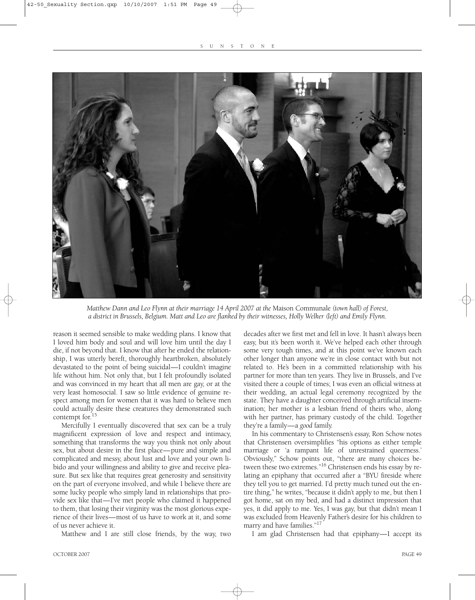

*Matthew Dann and Leo Flynn at their marriage 14 April 2007 at the* Maison Communale *(town hall) of Forest, a district in Brussels, Belgium. Matt and Leo are flanked by their witnesses, Holly Welker (left) and Emily Flynn.*

reason it seemed sensible to make wedding plans. I know that I loved him body and soul and will love him until the day I die, if not beyond that. I know that after he ended the relationship, I was utterly bereft, thoroughly heartbroken, absolutely devastated to the point of being suicidal—I couldn't imagine life without him. Not only that, but I felt profoundly isolated and was convinced in my heart that all men are gay, or at the very least homosocial. I saw so little evidence of genuine respect among men for women that it was hard to believe men could actually desire these creatures they demonstrated such contempt for.15

Mercifully I eventually discovered that sex can be a truly magnificent expression of love and respect and intimacy, something that transforms the way you think not only about sex, but about desire in the first place—pure and simple and complicated and messy, about lust and love and your own libido and your willingness and ability to give and receive pleasure. But sex like that requires great generosity and sensitivity on the part of everyone involved, and while I believe there are some lucky people who simply land in relationships that provide sex like that—I've met people who claimed it happened to them, that losing their virginity was the most glorious experience of their lives—most of us have to work at it, and some of us never achieve it.

Matthew and I are still close friends, by the way, two

decades after we first met and fell in love. It hasn't always been easy, but it's been worth it. We've helped each other through some very tough times, and at this point we've known each other longer than anyone we're in close contact with but not related to. He's been in a committed relationship with his partner for more than ten years. They live in Brussels, and I've visited there a couple of times; I was even an official witness at their wedding, an actual legal ceremony recognized by the state. They have a daughter conceived through artificial insemination; her mother is a lesbian friend of theirs who, along with her partner, has primary custody of the child. Together they're a family—a *good* family.

In his commentary to Christensen's essay, Ron Schow notes that Christensen oversimplifies "his options as either temple marriage or 'a rampant life of unrestrained queerness.' Obviously," Schow points out, "there are many choices between these two extremes."16 Christensen ends his essay by relating an epiphany that occurred after a "BYU fireside where they tell you to get married. I'd pretty much tuned out the entire thing," he writes, "because it didn't apply to me, but then I got home, sat on my bed, and had a distinct impression that yes, it did apply to me. Yes, I was gay, but that didn't mean I was excluded from Heavenly Father's desire for his children to marry and have families."<sup>17</sup>

I am glad Christensen had that epiphany—I accept its